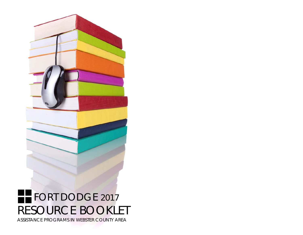

# **FFORT DODGE 2017** RESOURCE BOOKLET ASSISTANCE PROGRAMS IN WEBSTER COUNTY AREA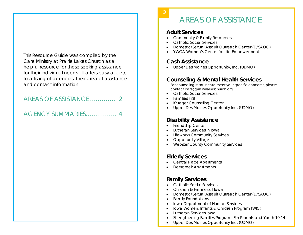This Resource Guide was compiled by the Care Ministry at Prairie Lakes Church as a helpful resource for those seeking assistance for their individual needs. It offers easy access to a listing of agencies, their area of assistance and contact information.

# AREAS OF ASSISTANCE…………. 2

# AGENCY SUMMARIES…………… 4

# AREAS OF ASSISTANCE

#### **Adult Services**

 **2** 

- 0 Community & Family Resources
- $\bullet$ Catholic Social Services
- $\bullet$ Domestic/Sexual Assault Outreach Center (D/SAOC)
- $\bullet$ YWCA Women's Center for Life Empowerment

# **Cash Assistance**

Upper Des Moines Opportunity, Inc. (UDMO)

# **Counseling & Mental Health Services**

For counseling resources to meet your specific concerns, please contact *care@prairielakeschurch.org.*

- $\bullet$ Catholic Social Services
- $\bullet$ Families First
- $\bullet$ Krueger Counseling Center
- $\bullet$ Upper Des Moines Opportunity Inc. (UDMO)

# **Disability Assistance**

- $\bullet$ Friendship Center
- $\bullet$ Lutheran Services in Iowa
- $\bullet$ Lifeworks Community Services
- . Opportunity Village
- $\bullet$ Webster County Community Services

# **Elderly Services**

- Central Place Apartments
- $\bullet$ Deercreek Apartments

# **Family Services**

- $\bullet$ Catholic Social Services
- $\bullet$ Children & Families of Iowa
- $\bullet$ Domestic/Sexual Assault Outreach Center (D/SAOC)
- . Family Foundations
- lowa Department of Human Services
- $\bullet$ Iowa Women, Infants & Children Program (WIC)
- $\bullet$ Lutheran Services Iowa
- $\bullet$ Strengthening Families Program: For Parents and Youth 10-14
- $\bullet$ Upper Des Moines Opportunity Inc. (UDMO)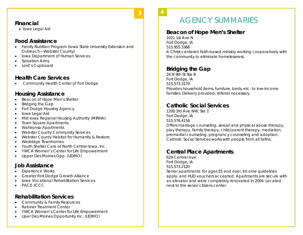#### **Financial**

• Iowa Legal Aid

#### **Food Assistance**

- Family Nutrition Program (Iowa State University Extension and Outreach—Webster County)
- $\bullet$ Iowa Department of Human Services
- $\bullet$ Salvation Army
- $\bullet$ Lord's Cupboard

#### **Health Care Services**

Community Health Center of Fort Dodge

# **Housing Assistance**

- $\bullet$ Beacon of Hope Men's Shelter
- $\bullet$ Bridging the Gap
- $\bullet$ Fort Dodge Housing Agency
- $\bullet$ Iowa Legal Aid
- $\bullet$ Mid Iowa Regional Housing Authority (MIRHA)
- $\bullet$ Town Square Apartments
- $\bullet$ Wahkonsa Apartments
- $\bullet$ Webster County Community Services
- $\bullet$ Webster County Habitat for Humanity & Restore
- $\bullet$ Westridge Townhomes
- $\bullet$ Youth Shelter Care of North Central Iowa, Inc.
- $\bullet$ YWCA Women's Center for Life Empowerment
- $\bullet$ Upper Des Moines Opp. (UDMO)

#### **Job Assistance**

- $\bullet$ Experience Works
- $\bullet$ Greater Fort Dodge Growth Alliance
- $\bullet$ Iowa Vocational Rehabilitation Services
- $\bullet$ PACE ICCC

#### **Rehabilitation Services**

- $\bullet$ Community & Family Resources
- $\bullet$ Rabiner Treatment Center
- $\bullet$ YWCA Women's Center for Life Empowerment
- $\bullet$ Uper Des Moines Opportunity Inc. (UDMO)

**4** 

 **3** 

# AGENCY SUMMARIES

## **Beacon of Hope Men's Shelter**

1021 1st Ave N Fort Dodge, IA 515.955.3366 A Christ-centered faith-based ministry working cooperatively with the community to eliminate homelessness.

# **Bridging the Gap**

24 N 9th St Ste B Fort Dodge, IA 515.573.3170 Provides household items, furniture, beds, etc. to low-income families. Delivery provided; referral necessary.

# **Catholic Social Services**

1200 3rd Ave NW, Ste 1 Fort Dodge, IA 515.576.4156 Offers marriage counseling, sexual and physical abuse therapy, play therapy, family therapy, child/parent therapy, mediation, premarital counseling, pregnancy counseling and adoption. Catholic Social Services works with people from all faiths.

# **Central Place Apartments**

629 Central Ave Fort Dodge, IA 515.573.2120 Senior apartments for ages 55 and over. Income guidelines apply, and HUD vouchers accepted. Apartments are secure with an elevator and were completely renovated in 2004. Located next to the senior citizens center.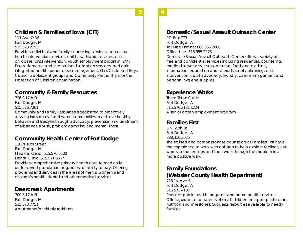# **Children & Families of Iowa (CFI)**

111 Ave O W Fort Dodge, IA 515.573.2193

Provides individual and family counseling services, behavioral health intervention services, child psychiatric services, crisis childcare, crisis intervention, youth employment program, 24/7 Dads, domestic and international adoption services, pediatric integrated health homes case management, Girls Circle and Boys Council adolescent groups and Community Partnerships for the Protection of Children coordination.

# **Community & Family Resources**

726 S 17th St Fort Dodge, IA 515.576.7261 Community and Family Resources is dedicated to proactively assisting individuals, families and communities to achieve healthy behavior and lifestyles through advocacy, prevention and treatment of substance abuse, problem gambling and mental illness.

# **Community Health Center of Fort Dodge**

126 N 10th Street Fort Dodge, IA Medical Clinic: 515.576.6500 Dental Clinic: 515.571.8667 Provides comprehensive primary health care to medically underserved populations regardless of ability to pay. Offering programs and services in the areas of men's, women's and children's health, dental and other medical services.

#### **Deercreek Apartments**

700 S 17th St Fort Dodge, IA 515.573.7751 Apartments for elderly residents

#### **Domestic/Sexual Assault Outreach Center**

PO Box 773 Fort Dodge, IA Toll Free Hotline: 888.356.2006 Office Line: 515.955.2273 Domestic/Sexual Assault Outreach Center offers a variety of free and confidential services including residential, counseling, medical advocacy, transportation, food and clothing, information, education and referrals, safety planning, crisis intervention, court advocacy, laundry, case management and personal hygiene supplies.

#### **Experience Works**

Three Triton Circle Fort Dodge, IA 515.576.3131 x224 A senior citizen employment program

#### **Families First**

5 N. 27th St Fort Dodge, IA 888.316.3025

The trained and compassionate counselors at Families First have the experience to work with children to help explore feelings, put words to the feelings and then work through the problem in a more positive way.

#### **Family Foundations (Webster County Health Department)**

723 1st Ave S Fort Dodge, IA 515.573.4107 Provides public health programs and home health services. Offers guidance to parents of small children on appropriate care, nutrition and milestones. Suggests resources available to needy families.

**6** 

**5**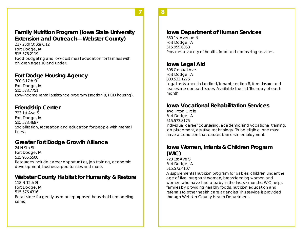#### **Family Nutrition Program (Iowa State University Extension and Outreach—Webster County)**

217 25th St Ste C12 Fort Dodge, IA 515.576.2119 Food budgeting and low-cost meal education for families with children ages 10 and under.

#### **Fort Dodge Housing Agency**

700 S 17th St Fort Dodge, IA 515.573.7751 Low-income rental assistance program (section 8, HUD housing).

#### **Friendship Center**

723 1st Ave S Fort Dodge, IA 515.573.4687 Socialization, recreation and education for people with mental illness.

# **Greater Fort Dodge Growth Alliance**

24 N 9th St Fort Dodge, IA 515.955.5500 Resources include career opportunities, job training, economic development, business opportunities and more.

# **Webster County Habitat for Humanity & Restore**

118 N 12th St Fort Dodge, IA 515.576.4316 Retail store for gently used or repurposed household remodeling items.

**7** 

#### **Iowa Department of Human Services**

330 1st Avenue N Fort Dodge, IA 515.955.6353 Provides a variety of health, food and counseling services.

# **Iowa Legal Aid**

308 Central Ave Fort Dodge, IA 800.532.1275 Legal assistance in landlord/tenant, section 8, foreclosure and real estate contract issues. Available the first Thursday of each month.

# **Iowa Vocational Rehabilitation Services**

Two Triton Circle Fort Dodge, IA 515.573.8175 Individual career counseling, academic and vocational training, job placement, assistive technology. To be eligible, one must have a condition that causes barriers in employment.

# **Iowa Women, Infants & Children Program (WIC)**

723 1st Ave S Fort Dodge, IA 515.573.4107

A supplemental nutrition program for babies, children under the age of five, pregnant women, breastfeeding women and women who have had a baby in the last six months. WIC helps families by providing healthy foods, nutrition education and referrals to other health care agencies. This service is provided through Webster County Health Department.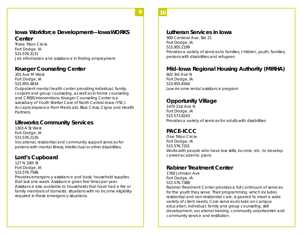**10** 

**9** 

#### **Iowa Workforce Development—IowaWORKS Center**

Three Triton Circle Fort Dodge, IA 515.576.3131 Job information and assistance in finding employment

## **Krueger Counseling Center**

301 Ave M West Fort Dodge, IA 515.955.4834

Outpatient mental health center providing individual, family, conjoint and group counseling, as well as in-home counseling and CRISIS Interventions. Krueger Counseling Center is a subsidiary of Youth Shelter Care of North Central Iowa (YSC). Accepts insurance from Medicaid, Blue Cross, Cigna and Health **Partners** 

# **Lifeworks Community Services**

1303 A St West Fort Dodge, IA 515.576.2126 Vocational, residential and community support services for persons with mental illness, intellectual or other disabilities.

# **Lord's Cupboard**

127 N 10th St Fort Dodge, IA 515.576.7586 Provides emergency assistance and basic household supplies that last one week. Assistance given five times per year. Assistance also available to households that have had a fire or family members of domestic situations with no income eligibility required in these emergency situations.

#### **Lutheran Services in Iowa**

900 Centeral Ave, Ste 21 Fort Dodge, IA 515.955.2199 Provides a variety of services to families, children, youth, families, persons with disabilities and refugees

#### **Mid-Iowa Regional Housing Authority (MIRHA)**

602 3rd Ave N Fort Dodge, IA 515.955.8344 Low-income rental assistance program

# **Opportunity Village**

1470 21st Ave N Fort Dodge, IA 515.573.8243 Provides a variety of services for adults with disabilities

# **PACE-ICCC**

One Triton Circle Fort Dodge, IA 515.576.7201 Works with people who have low skills, income, etc. to develop career/academic plans

#### **Rabiner Treatment Center**

1760 Johnson Ave Fort Dodge, IA 515.576.7388

Rabiner Treatment Center provides a full continuum of services for the youth they serve. Their programming, which includes residential and non-residential care, is geared to meet a wide variety of client needs. Core services include on-campus education; individual, family and group counseling; skill development; vocational training; community volunteerism and community service and restitution.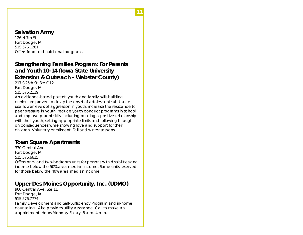#### **Salvation Army**

126 N 7th St Fort Dodge, IA 515.576.1281 Offers food and nutritional programs

# **Strengthening Families Program: For Parents and Youth 10-14 (Iowa State University Extension & Outreach - Webster County)**

**11** 

217 S 25th St, Ste C12 Fort Dodge, IA 515.576.2119

An evidence-based parent, youth and family skills building curriculum proven to delay the onset of adolescent substance use, lower levels of aggression in youth, increase the resistance to peer pressure in youth, reduce youth conduct programs in school and improve parent skills, including building a positive relationship with their youth, setting appropriate limits and following through on consequences while showing love and support for their children. Voluntary enrollment. Fall and winter sessions.

#### **Town Square Apartments**

330 Central Ave Fort Dodge, IA 515.576.6615 Offers one- and two-bedroom units for persons with disabilities and income below the 50% area median income. Some units reserved for those below the 40% area median income.

# **Upper Des Moines Opportunity, Inc. (UDMO)**

900 Central Ave. Ste 11 Fort Dodge, IA 515.576.7774 Family Development and Self-Sufficiency Program and in-home counseling. Also provides utility assistance. Call to make an appointment. Hours Monday-Friday, 8 a.m.-4 p.m.